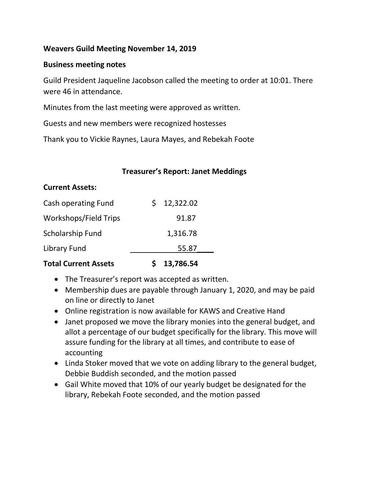#### **Weavers Guild Meeting November 14, 2019**

#### **Business meeting notes**

Guild President Jaqueline Jacobson called the meeting to order at 10:01. There were 46 in attendance.

Minutes from the last meeting were approved as written.

Guests and new members were recognized hostesses

Thank you to Vickie Raynes, Laura Mayes, and Rebekah Foote

#### **Treasurer's Report: Janet Meddings**

#### **Current Assets:**

| Cash operating Fund          | \$12,322.02 |  |
|------------------------------|-------------|--|
| <b>Workshops/Field Trips</b> | 91.87       |  |
| Scholarship Fund             | 1,316.78    |  |
| Library Fund                 | 55.87       |  |
|                              |             |  |

### **Total Current Assets \$ 13,786.54**

- The Treasurer's report was accepted as written.
- Membership dues are payable through January 1, 2020, and may be paid on line or directly to Janet
- Online registration is now available for KAWS and Creative Hand
- Janet proposed we move the library monies into the general budget, and allot a percentage of our budget specifically for the library. This move will assure funding for the library at all times, and contribute to ease of accounting
- Linda Stoker moved that we vote on adding library to the general budget, Debbie Buddish seconded, and the motion passed
- Gail White moved that 10% of our yearly budget be designated for the library, Rebekah Foote seconded, and the motion passed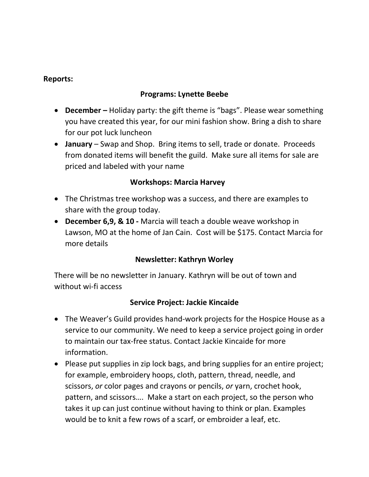#### **Reports:**

### **Programs: Lynette Beebe**

- **December –** Holiday party: the gift theme is "bags". Please wear something you have created this year, for our mini fashion show. Bring a dish to share for our pot luck luncheon
- **January**  Swap and Shop. Bring items to sell, trade or donate. Proceeds from donated items will benefit the guild. Make sure all items for sale are priced and labeled with your name

### **Workshops: Marcia Harvey**

- The Christmas tree workshop was a success, and there are examples to share with the group today.
- **December 6,9, & 10 -** Marcia will teach a double weave workshop in Lawson, MO at the home of Jan Cain. Cost will be \$175. Contact Marcia for more details

### **Newsletter: Kathryn Worley**

There will be no newsletter in January. Kathryn will be out of town and without wi-fi access

#### **Service Project: Jackie Kincaide**

- The Weaver's Guild provides hand-work projects for the Hospice House as a service to our community. We need to keep a service project going in order to maintain our tax-free status. Contact Jackie Kincaide for more information.
- Please put supplies in zip lock bags, and bring supplies for an entire project; for example, embroidery hoops, cloth, pattern, thread, needle, and scissors, *or* color pages and crayons or pencils, *or* yarn, crochet hook, pattern, and scissors…. Make a start on each project, so the person who takes it up can just continue without having to think or plan. Examples would be to knit a few rows of a scarf, or embroider a leaf, etc.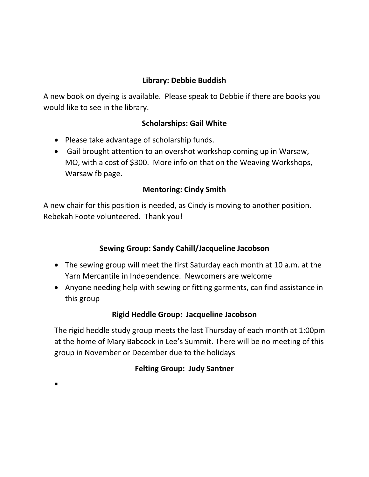## **Library: Debbie Buddish**

A new book on dyeing is available. Please speak to Debbie if there are books you would like to see in the library.

### **Scholarships: Gail White**

• Please take advantage of scholarship funds.

 $\blacksquare$ 

 Gail brought attention to an overshot workshop coming up in Warsaw, MO, with a cost of \$300. More info on that on the Weaving Workshops, Warsaw fb page.

### **Mentoring: Cindy Smith**

A new chair for this position is needed, as Cindy is moving to another position. Rebekah Foote volunteered. Thank you!

#### **Sewing Group: Sandy Cahill/Jacqueline Jacobson**

- The sewing group will meet the first Saturday each month at 10 a.m. at the Yarn Mercantile in Independence. Newcomers are welcome
- Anyone needing help with sewing or fitting garments, can find assistance in this group

#### **Rigid Heddle Group: Jacqueline Jacobson**

The rigid heddle study group meets the last Thursday of each month at 1:00pm at the home of Mary Babcock in Lee's Summit. There will be no meeting of this group in November or December due to the holidays

### **Felting Group: Judy Santner**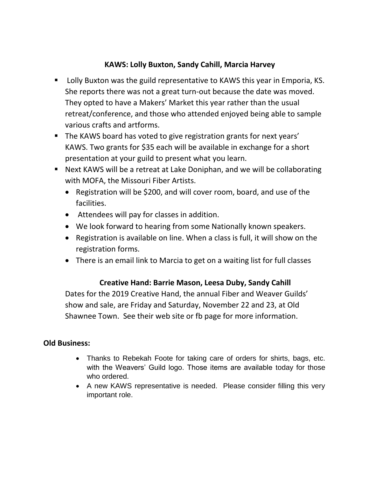## **KAWS: Lolly Buxton, Sandy Cahill, Marcia Harvey**

- Lolly Buxton was the guild representative to KAWS this year in Emporia, KS. She reports there was not a great turn-out because the date was moved. They opted to have a Makers' Market this year rather than the usual retreat/conference, and those who attended enjoyed being able to sample various crafts and artforms.
- The KAWS board has voted to give registration grants for next years' KAWS. Two grants for \$35 each will be available in exchange for a short presentation at your guild to present what you learn.
- Next KAWS will be a retreat at Lake Doniphan, and we will be collaborating with MOFA, the Missouri Fiber Artists.
	- Registration will be \$200, and will cover room, board, and use of the facilities.
	- Attendees will pay for classes in addition.
	- We look forward to hearing from some Nationally known speakers.
	- Registration is available on line. When a class is full, it will show on the registration forms.
	- There is an email link to Marcia to get on a waiting list for full classes

# **Creative Hand: Barrie Mason, Leesa Duby, Sandy Cahill**

Dates for the 2019 Creative Hand, the annual Fiber and Weaver Guilds' show and sale, are Friday and Saturday, November 22 and 23, at Old Shawnee Town. See their web site or fb page for more information.

### **Old Business:**

- Thanks to Rebekah Foote for taking care of orders for shirts, bags, etc. with the Weavers' Guild logo. Those items are available today for those who ordered.
- A new KAWS representative is needed. Please consider filling this very important role.